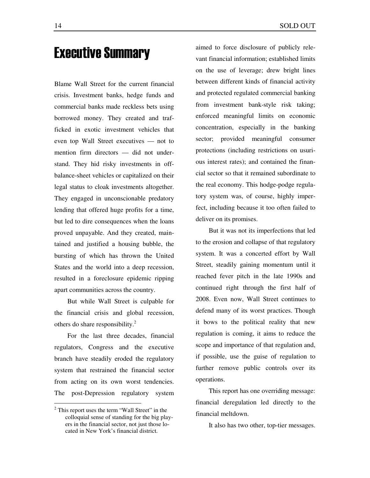# Executive Summary

Blame Wall Street for the current financial crisis. Investment banks, hedge funds and commercial banks made reckless bets using borrowed money. They created and trafficked in exotic investment vehicles that even top Wall Street executives — not to mention firm directors — did not understand. They hid risky investments in offbalance-sheet vehicles or capitalized on their legal status to cloak investments altogether. They engaged in unconscionable predatory lending that offered huge profits for a time, but led to dire consequences when the loans proved unpayable. And they created, maintained and justified a housing bubble, the bursting of which has thrown the United States and the world into a deep recession, resulted in a foreclosure epidemic ripping apart communities across the country.

But while Wall Street is culpable for the financial crisis and global recession, others do share responsibility. $^{2}$ 

For the last three decades, financial regulators, Congress and the executive branch have steadily eroded the regulatory system that restrained the financial sector from acting on its own worst tendencies. The post-Depression regulatory system

 $\overline{a}$ 

aimed to force disclosure of publicly relevant financial information; established limits on the use of leverage; drew bright lines between different kinds of financial activity and protected regulated commercial banking from investment bank-style risk taking; enforced meaningful limits on economic concentration, especially in the banking sector; provided meaningful consumer protections (including restrictions on usurious interest rates); and contained the financial sector so that it remained subordinate to the real economy. This hodge-podge regulatory system was, of course, highly imperfect, including because it too often failed to deliver on its promises.

But it was not its imperfections that led to the erosion and collapse of that regulatory system. It was a concerted effort by Wall Street, steadily gaining momentum until it reached fever pitch in the late 1990s and continued right through the first half of 2008. Even now, Wall Street continues to defend many of its worst practices. Though it bows to the political reality that new regulation is coming, it aims to reduce the scope and importance of that regulation and, if possible, use the guise of regulation to further remove public controls over its operations.

This report has one overriding message: financial deregulation led directly to the financial meltdown.

It also has two other, top-tier messages.

<sup>&</sup>lt;sup>2</sup> This report uses the term "Wall Street" in the colloquial sense of standing for the big players in the financial sector, not just those located in New York's financial district.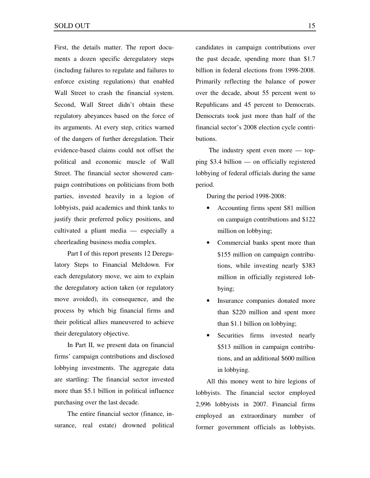First, the details matter. The report documents a dozen specific deregulatory steps (including failures to regulate and failures to enforce existing regulations) that enabled Wall Street to crash the financial system. Second, Wall Street didn't obtain these regulatory abeyances based on the force of its arguments. At every step, critics warned of the dangers of further deregulation. Their evidence-based claims could not offset the political and economic muscle of Wall Street. The financial sector showered campaign contributions on politicians from both parties, invested heavily in a legion of lobbyists, paid academics and think tanks to justify their preferred policy positions, and cultivated a pliant media — especially a cheerleading business media complex.

Part I of this report presents 12 Deregulatory Steps to Financial Meltdown. For each deregulatory move, we aim to explain the deregulatory action taken (or regulatory move avoided), its consequence, and the process by which big financial firms and their political allies maneuvered to achieve their deregulatory objective.

In Part II, we present data on financial firms' campaign contributions and disclosed lobbying investments. The aggregate data are startling: The financial sector invested more than \$5.1 billion in political influence purchasing over the last decade.

The entire financial sector (finance, insurance, real estate) drowned political

candidates in campaign contributions over the past decade, spending more than \$1.7 billion in federal elections from 1998-2008. Primarily reflecting the balance of power over the decade, about 55 percent went to Republicans and 45 percent to Democrats. Democrats took just more than half of the financial sector's 2008 election cycle contributions.

The industry spent even more — topping \$3.4 billion — on officially registered lobbying of federal officials during the same period.

During the period 1998-2008:

- Accounting firms spent \$81 million on campaign contributions and \$122 million on lobbying;
- Commercial banks spent more than \$155 million on campaign contributions, while investing nearly \$383 million in officially registered lobbying;
- Insurance companies donated more than \$220 million and spent more than \$1.1 billion on lobbying;
- Securities firms invested nearly \$513 million in campaign contributions, and an additional \$600 million in lobbying.

All this money went to hire legions of lobbyists. The financial sector employed 2,996 lobbyists in 2007. Financial firms employed an extraordinary number of former government officials as lobbyists.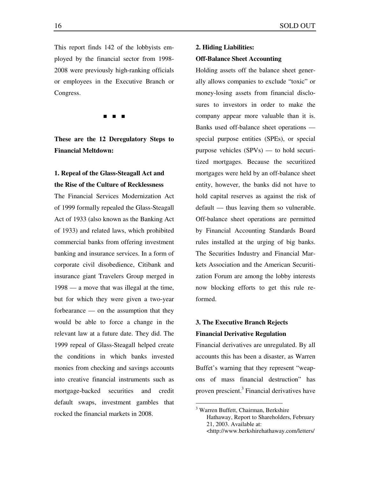This report finds 142 of the lobbyists employed by the financial sector from 1998- 2008 were previously high-ranking officials or employees in the Executive Branch or Congress.

■ ■ ■

**These are the 12 Deregulatory Steps to Financial Meltdown:** 

## **1. Repeal of the Glass-Steagall Act and the Rise of the Culture of Recklessness**

The Financial Services Modernization Act of 1999 formally repealed the Glass-Steagall Act of 1933 (also known as the Banking Act of 1933) and related laws, which prohibited commercial banks from offering investment banking and insurance services. In a form of corporate civil disobedience, Citibank and insurance giant Travelers Group merged in 1998 — a move that was illegal at the time, but for which they were given a two-year forbearance — on the assumption that they would be able to force a change in the relevant law at a future date. They did. The 1999 repeal of Glass-Steagall helped create the conditions in which banks invested monies from checking and savings accounts into creative financial instruments such as mortgage-backed securities and credit default swaps, investment gambles that rocked the financial markets in 2008.

#### **2. Hiding Liabilities:**

#### **Off-Balance Sheet Accounting**

Holding assets off the balance sheet generally allows companies to exclude "toxic" or money-losing assets from financial disclosures to investors in order to make the company appear more valuable than it is. Banks used off-balance sheet operations special purpose entities (SPEs), or special purpose vehicles (SPVs) — to hold securitized mortgages. Because the securitized mortgages were held by an off-balance sheet entity, however, the banks did not have to hold capital reserves as against the risk of default — thus leaving them so vulnerable. Off-balance sheet operations are permitted by Financial Accounting Standards Board rules installed at the urging of big banks. The Securities Industry and Financial Markets Association and the American Securitization Forum are among the lobby interests now blocking efforts to get this rule reformed.

## **3. The Executive Branch Rejects Financial Derivative Regulation**

<u>.</u>

Financial derivatives are unregulated. By all accounts this has been a disaster, as Warren Buffet's warning that they represent "weapons of mass financial destruction" has proven prescient.<sup>3</sup> Financial derivatives have

<sup>3</sup> Warren Buffett, Chairman, Berkshire Hathaway, Report to Shareholders, February 21, 2003. Available at: <http://www.berkshirehathaway.com/letters/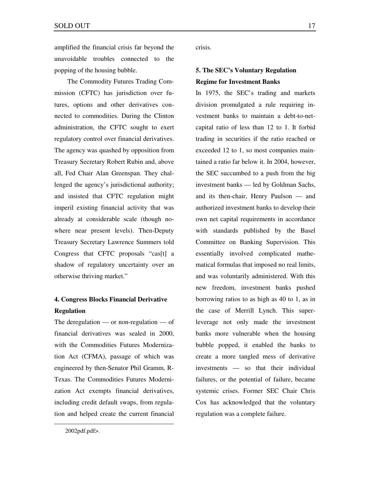amplified the financial crisis far beyond the unavoidable troubles connected to the popping of the housing bubble.

The Commodity Futures Trading Commission (CFTC) has jurisdiction over futures, options and other derivatives connected to commodities. During the Clinton administration, the CFTC sought to exert regulatory control over financial derivatives. The agency was quashed by opposition from Treasury Secretary Robert Rubin and, above all, Fed Chair Alan Greenspan. They challenged the agency's jurisdictional authority; and insisted that CFTC regulation might imperil existing financial activity that was already at considerable scale (though nowhere near present levels). Then-Deputy Treasury Secretary Lawrence Summers told Congress that CFTC proposals "cas[t] a shadow of regulatory uncertainty over an otherwise thriving market."

## **4. Congress Blocks Financial Derivative Regulation**

The deregulation — or non-regulation — of financial derivatives was sealed in 2000, with the Commodities Futures Modernization Act (CFMA), passage of which was engineered by then-Senator Phil Gramm, R-Texas. The Commodities Futures Modernization Act exempts financial derivatives, including credit default swaps, from regulation and helped create the current financial

2002pdf.pdf>.

<u>.</u>

crisis.

# **5. The SEC's Voluntary Regulation Regime for Investment Banks**

In 1975, the SEC's trading and markets division promulgated a rule requiring investment banks to maintain a debt-to-netcapital ratio of less than 12 to 1. It forbid trading in securities if the ratio reached or exceeded 12 to 1, so most companies maintained a ratio far below it. In 2004, however, the SEC succumbed to a push from the big investment banks — led by Goldman Sachs, and its then-chair, Henry Paulson — and authorized investment banks to develop their own net capital requirements in accordance with standards published by the Basel Committee on Banking Supervision. This essentially involved complicated mathematical formulas that imposed no real limits, and was voluntarily administered. With this new freedom, investment banks pushed borrowing ratios to as high as 40 to 1, as in the case of Merrill Lynch. This superleverage not only made the investment banks more vulnerable when the housing bubble popped, it enabled the banks to create a more tangled mess of derivative investments — so that their individual failures, or the potential of failure, became systemic crises. Former SEC Chair Chris Cox has acknowledged that the voluntary regulation was a complete failure.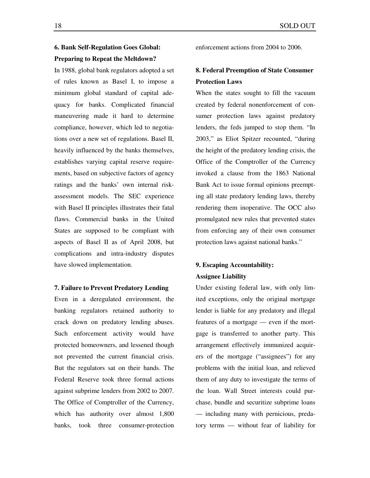#### **6. Bank Self-Regulation Goes Global: Preparing to Repeat the Meltdown?**

In 1988, global bank regulators adopted a set of rules known as Basel I, to impose a minimum global standard of capital adequacy for banks. Complicated financial maneuvering made it hard to determine compliance, however, which led to negotiations over a new set of regulations. Basel II, heavily influenced by the banks themselves, establishes varying capital reserve requirements, based on subjective factors of agency ratings and the banks' own internal riskassessment models. The SEC experience with Basel II principles illustrates their fatal flaws. Commercial banks in the United States are supposed to be compliant with aspects of Basel II as of April 2008, but complications and intra-industry disputes have slowed implementation.

#### **7. Failure to Prevent Predatory Lending**

Even in a deregulated environment, the banking regulators retained authority to crack down on predatory lending abuses. Such enforcement activity would have protected homeowners, and lessened though not prevented the current financial crisis. But the regulators sat on their hands. The Federal Reserve took three formal actions against subprime lenders from 2002 to 2007. The Office of Comptroller of the Currency, which has authority over almost 1,800 banks, took three consumer-protection

enforcement actions from 2004 to 2006.

### **8. Federal Preemption of State Consumer Protection Laws**

When the states sought to fill the vacuum created by federal nonenforcement of consumer protection laws against predatory lenders, the feds jumped to stop them. "In 2003," as Eliot Spitzer recounted, "during the height of the predatory lending crisis, the Office of the Comptroller of the Currency invoked a clause from the 1863 National Bank Act to issue formal opinions preempting all state predatory lending laws, thereby rendering them inoperative. The OCC also promulgated new rules that prevented states from enforcing any of their own consumer protection laws against national banks."

## **9. Escaping Accountability: Assignee Liability**

Under existing federal law, with only limited exceptions, only the original mortgage lender is liable for any predatory and illegal features of a mortgage — even if the mortgage is transferred to another party. This arrangement effectively immunized acquirers of the mortgage ("assignees") for any problems with the initial loan, and relieved them of any duty to investigate the terms of the loan. Wall Street interests could purchase, bundle and securitize subprime loans — including many with pernicious, predatory terms — without fear of liability for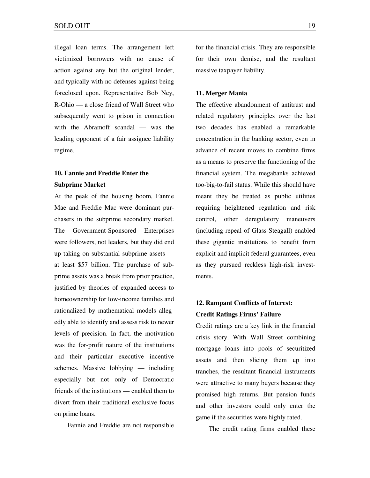illegal loan terms. The arrangement left victimized borrowers with no cause of action against any but the original lender, and typically with no defenses against being foreclosed upon. Representative Bob Ney, R-Ohio — a close friend of Wall Street who subsequently went to prison in connection with the Abramoff scandal — was the leading opponent of a fair assignee liability regime.

## **10. Fannie and Freddie Enter the Subprime Market**

At the peak of the housing boom, Fannie Mae and Freddie Mac were dominant purchasers in the subprime secondary market. The Government-Sponsored Enterprises were followers, not leaders, but they did end up taking on substantial subprime assets at least \$57 billion. The purchase of subprime assets was a break from prior practice, justified by theories of expanded access to homeownership for low-income families and rationalized by mathematical models allegedly able to identify and assess risk to newer levels of precision. In fact, the motivation was the for-profit nature of the institutions and their particular executive incentive schemes. Massive lobbying — including especially but not only of Democratic friends of the institutions — enabled them to divert from their traditional exclusive focus on prime loans.

Fannie and Freddie are not responsible

for the financial crisis. They are responsible for their own demise, and the resultant massive taxpayer liability.

#### **11. Merger Mania**

The effective abandonment of antitrust and related regulatory principles over the last two decades has enabled a remarkable concentration in the banking sector, even in advance of recent moves to combine firms as a means to preserve the functioning of the financial system. The megabanks achieved too-big-to-fail status. While this should have meant they be treated as public utilities requiring heightened regulation and risk control, other deregulatory maneuvers (including repeal of Glass-Steagall) enabled these gigantic institutions to benefit from explicit and implicit federal guarantees, even as they pursued reckless high-risk investments.

## **12. Rampant Conflicts of Interest: Credit Ratings Firms' Failure**

Credit ratings are a key link in the financial crisis story. With Wall Street combining mortgage loans into pools of securitized assets and then slicing them up into tranches, the resultant financial instruments were attractive to many buyers because they promised high returns. But pension funds and other investors could only enter the game if the securities were highly rated.

The credit rating firms enabled these